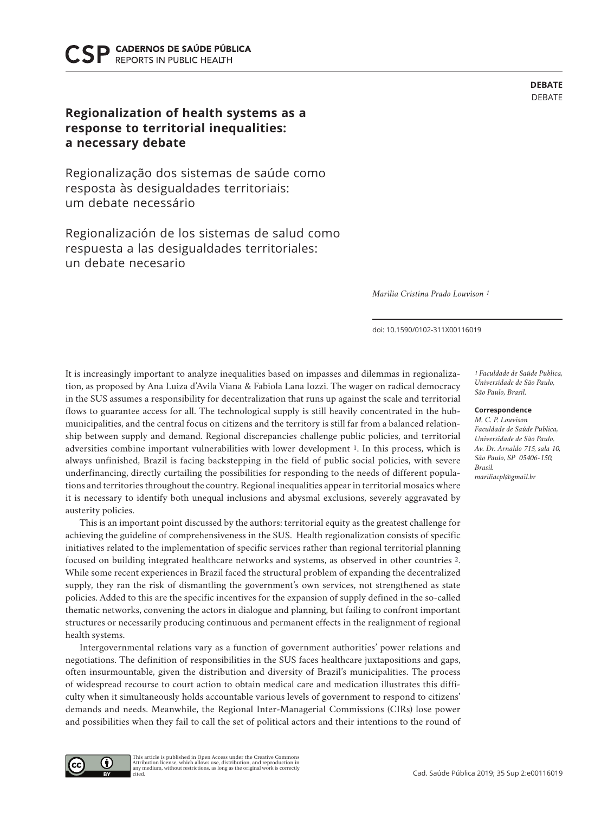Cad. Saúde Pública 2019; 35 Sup 2:e00116019

CADERNOS DE SAÚDE PÚBLICA **REPORTS IN PUBLIC HEALTH** 

## **Regionalization of health systems as a response to territorial inequalities: a necessary debate**

Regionalização dos sistemas de saúde como resposta às desigualdades territoriais: um debate necessário

Regionalización de los sistemas de salud como respuesta a las desigualdades territoriales: un debate necesario

*Marilia Cristina Prado Louvison 1*

doi: 10.1590/0102-311X00116019

It is increasingly important to analyze inequalities based on impasses and dilemmas in regionalization, as proposed by Ana Luiza d'Avila Viana & Fabiola Lana Iozzi. The wager on radical democracy in the SUS assumes a responsibility for decentralization that runs up against the scale and territorial flows to guarantee access for all. The technological supply is still heavily concentrated in the hubmunicipalities, and the central focus on citizens and the territory is still far from a balanced relationship between supply and demand. Regional discrepancies challenge public policies, and territorial adversities combine important vulnerabilities with lower development 1. In this process, which is always unfinished, Brazil is facing backstepping in the field of public social policies, with severe underfinancing, directly curtailing the possibilities for responding to the needs of different populations and territories throughout the country. Regional inequalities appear in territorial mosaics where it is necessary to identify both unequal inclusions and abysmal exclusions, severely aggravated by austerity policies.

This is an important point discussed by the authors: territorial equity as the greatest challenge for achieving the guideline of comprehensiveness in the SUS. Health regionalization consists of specific initiatives related to the implementation of specific services rather than regional territorial planning focused on building integrated healthcare networks and systems, as observed in other countries 2. While some recent experiences in Brazil faced the structural problem of expanding the decentralized supply, they ran the risk of dismantling the government's own services, not strengthened as state policies. Added to this are the specific incentives for the expansion of supply defined in the so-called thematic networks, convening the actors in dialogue and planning, but failing to confront important structures or necessarily producing continuous and permanent effects in the realignment of regional health systems.

Intergovernmental relations vary as a function of government authorities' power relations and negotiations. The definition of responsibilities in the SUS faces healthcare juxtapositions and gaps, often insurmountable, given the distribution and diversity of Brazil's municipalities. The process of widespread recourse to court action to obtain medical care and medication illustrates this difficulty when it simultaneously holds accountable various levels of government to respond to citizens' demands and needs. Meanwhile, the Regional Inter-Managerial Commissions (CIRs) lose power and possibilities when they fail to call the set of political actors and their intentions to the round of

*1 Faculdade de Saúde Publica, Universidade de São Paulo, São Paulo, Brasil.*

**DEBATE** DEBATE

## **Correspondence**

*M. C. P. Louvison Faculdade de Saúde Publica, Universidade de São Paulo. Av. Dr. Arnaldo 715, sala 10, São Paulo, SP 05406-150, Brasil. mariliacpl@gmail.br* 



This article is published in Open Access under the Creative Commons Attribution license, which allows use, distribution, and reproduction in any medium, without restrictions, as long as the original work is correctly uny :<br>citod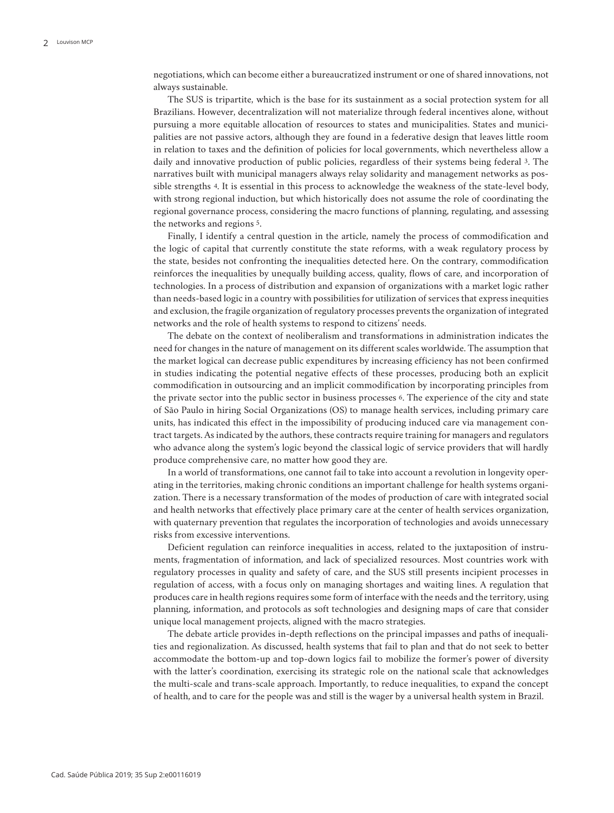negotiations, which can become either a bureaucratized instrument or one of shared innovations, not always sustainable.

The SUS is tripartite, which is the base for its sustainment as a social protection system for all Brazilians. However, decentralization will not materialize through federal incentives alone, without pursuing a more equitable allocation of resources to states and municipalities. States and municipalities are not passive actors, although they are found in a federative design that leaves little room in relation to taxes and the definition of policies for local governments, which nevertheless allow a daily and innovative production of public policies, regardless of their systems being federal 3. The narratives built with municipal managers always relay solidarity and management networks as possible strengths 4. It is essential in this process to acknowledge the weakness of the state-level body, with strong regional induction, but which historically does not assume the role of coordinating the regional governance process, considering the macro functions of planning, regulating, and assessing the networks and regions 5.

Finally, I identify a central question in the article, namely the process of commodification and the logic of capital that currently constitute the state reforms, with a weak regulatory process by the state, besides not confronting the inequalities detected here. On the contrary, commodification reinforces the inequalities by unequally building access, quality, flows of care, and incorporation of technologies. In a process of distribution and expansion of organizations with a market logic rather than needs-based logic in a country with possibilities for utilization of services that express inequities and exclusion, the fragile organization of regulatory processes prevents the organization of integrated networks and the role of health systems to respond to citizens' needs.

The debate on the context of neoliberalism and transformations in administration indicates the need for changes in the nature of management on its different scales worldwide. The assumption that the market logical can decrease public expenditures by increasing efficiency has not been confirmed in studies indicating the potential negative effects of these processes, producing both an explicit commodification in outsourcing and an implicit commodification by incorporating principles from the private sector into the public sector in business processes 6. The experience of the city and state of São Paulo in hiring Social Organizations (OS) to manage health services, including primary care units, has indicated this effect in the impossibility of producing induced care via management contract targets. As indicated by the authors, these contracts require training for managers and regulators who advance along the system's logic beyond the classical logic of service providers that will hardly produce comprehensive care, no matter how good they are.

In a world of transformations, one cannot fail to take into account a revolution in longevity operating in the territories, making chronic conditions an important challenge for health systems organization. There is a necessary transformation of the modes of production of care with integrated social and health networks that effectively place primary care at the center of health services organization, with quaternary prevention that regulates the incorporation of technologies and avoids unnecessary risks from excessive interventions.

Deficient regulation can reinforce inequalities in access, related to the juxtaposition of instruments, fragmentation of information, and lack of specialized resources. Most countries work with regulatory processes in quality and safety of care, and the SUS still presents incipient processes in regulation of access, with a focus only on managing shortages and waiting lines. A regulation that produces care in health regions requires some form of interface with the needs and the territory, using planning, information, and protocols as soft technologies and designing maps of care that consider unique local management projects, aligned with the macro strategies.

The debate article provides in-depth reflections on the principal impasses and paths of inequalities and regionalization. As discussed, health systems that fail to plan and that do not seek to better accommodate the bottom-up and top-down logics fail to mobilize the former's power of diversity with the latter's coordination, exercising its strategic role on the national scale that acknowledges the multi-scale and trans-scale approach. Importantly, to reduce inequalities, to expand the concept of health, and to care for the people was and still is the wager by a universal health system in Brazil.